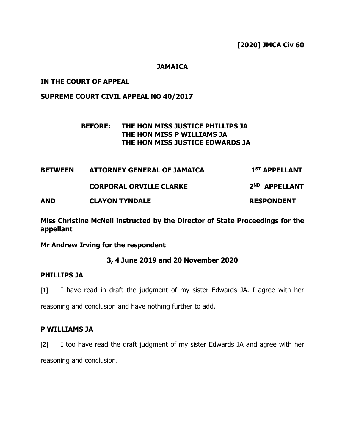# **JAMAICA**

# **IN THE COURT OF APPEAL**

# **SUPREME COURT CIVIL APPEAL NO 40/2017**

# **BEFORE: THE HON MISS JUSTICE PHILLIPS JA THE HON MISS P WILLIAMS JA THE HON MISS JUSTICE EDWARDS JA**

| <b>BETWEEN</b> | <b>ATTORNEY GENERAL OF JAMAICA</b> | 1 <sup>ST</sup> APPELLANT |
|----------------|------------------------------------|---------------------------|
|                | <b>CORPORAL ORVILLE CLARKE</b>     | 2 <sup>ND</sup> APPELLANT |
| <b>AND</b>     | <b>CLAYON TYNDALE</b>              | <b>RESPONDENT</b>         |

**Miss Christine McNeil instructed by the Director of State Proceedings for the appellant**

**Mr Andrew Irving for the respondent**

# **3, 4 June 2019 and 20 November 2020**

# **PHILLIPS JA**

[1] I have read in draft the judgment of my sister Edwards JA. I agree with her

reasoning and conclusion and have nothing further to add.

# **P WILLIAMS JA**

[2] I too have read the draft judgment of my sister Edwards JA and agree with her reasoning and conclusion.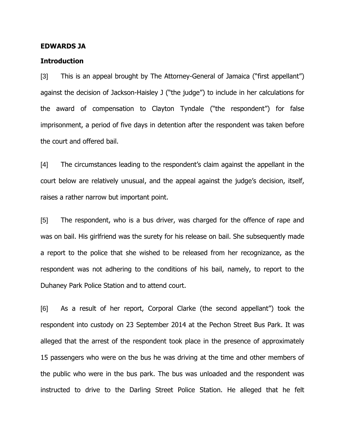#### **EDWARDS JA**

### **Introduction**

[3] This is an appeal brought by The Attorney-General of Jamaica ("first appellant") against the decision of Jackson-Haisley J ("the judge") to include in her calculations for the award of compensation to Clayton Tyndale ("the respondent") for false imprisonment, a period of five days in detention after the respondent was taken before the court and offered bail.

[4] The circumstances leading to the respondent's claim against the appellant in the court below are relatively unusual, and the appeal against the judge's decision, itself, raises a rather narrow but important point.

[5] The respondent, who is a bus driver, was charged for the offence of rape and was on bail. His girlfriend was the surety for his release on bail. She subsequently made a report to the police that she wished to be released from her recognizance, as the respondent was not adhering to the conditions of his bail, namely, to report to the Duhaney Park Police Station and to attend court.

[6] As a result of her report, Corporal Clarke (the second appellant") took the respondent into custody on 23 September 2014 at the Pechon Street Bus Park. It was alleged that the arrest of the respondent took place in the presence of approximately 15 passengers who were on the bus he was driving at the time and other members of the public who were in the bus park. The bus was unloaded and the respondent was instructed to drive to the Darling Street Police Station. He alleged that he felt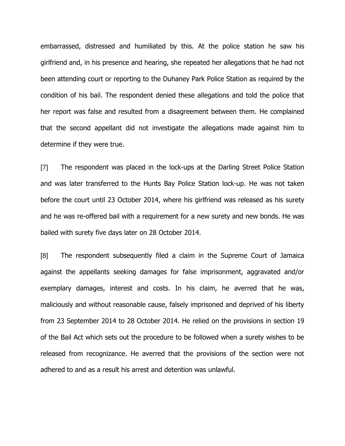embarrassed, distressed and humiliated by this. At the police station he saw his girlfriend and, in his presence and hearing, she repeated her allegations that he had not been attending court or reporting to the Duhaney Park Police Station as required by the condition of his bail. The respondent denied these allegations and told the police that her report was false and resulted from a disagreement between them. He complained that the second appellant did not investigate the allegations made against him to determine if they were true.

[7] The respondent was placed in the lock-ups at the Darling Street Police Station and was later transferred to the Hunts Bay Police Station lock-up. He was not taken before the court until 23 October 2014, where his girlfriend was released as his surety and he was re-offered bail with a requirement for a new surety and new bonds. He was bailed with surety five days later on 28 October 2014.

[8] The respondent subsequently filed a claim in the Supreme Court of Jamaica against the appellants seeking damages for false imprisonment, aggravated and/or exemplary damages, interest and costs. In his claim, he averred that he was, maliciously and without reasonable cause, falsely imprisoned and deprived of his liberty from 23 September 2014 to 28 October 2014. He relied on the provisions in section 19 of the Bail Act which sets out the procedure to be followed when a surety wishes to be released from recognizance. He averred that the provisions of the section were not adhered to and as a result his arrest and detention was unlawful.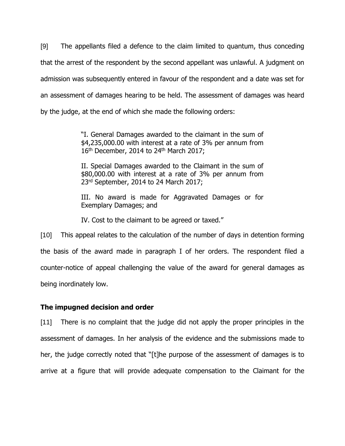[9] The appellants filed a defence to the claim limited to quantum, thus conceding that the arrest of the respondent by the second appellant was unlawful. A judgment on admission was subsequently entered in favour of the respondent and a date was set for an assessment of damages hearing to be held. The assessment of damages was heard by the judge, at the end of which she made the following orders:

> "I. General Damages awarded to the claimant in the sum of \$4,235,000.00 with interest at a rate of 3% per annum from 16<sup>th</sup> December, 2014 to 24<sup>th</sup> March 2017;

> II. Special Damages awarded to the Claimant in the sum of \$80,000.00 with interest at a rate of 3% per annum from 23rd September, 2014 to 24 March 2017;

> III. No award is made for Aggravated Damages or for Exemplary Damages; and

IV. Cost to the claimant to be agreed or taxed."

[10] This appeal relates to the calculation of the number of days in detention forming the basis of the award made in paragraph I of her orders. The respondent filed a counter-notice of appeal challenging the value of the award for general damages as being inordinately low.

# **The impugned decision and order**

[11] There is no complaint that the judge did not apply the proper principles in the assessment of damages. In her analysis of the evidence and the submissions made to her, the judge correctly noted that "[t]he purpose of the assessment of damages is to arrive at a figure that will provide adequate compensation to the Claimant for the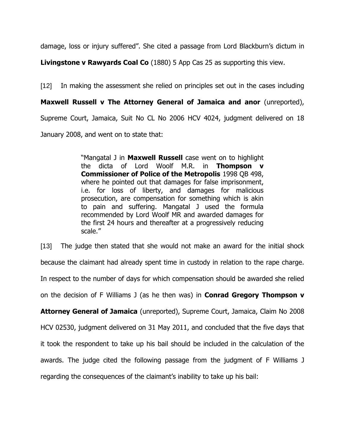damage, loss or injury suffered". She cited a passage from Lord Blackburn's dictum in

**Livingstone v Rawyards Coal Co** (1880) 5 App Cas 25 as supporting this view.

[12] In making the assessment she relied on principles set out in the cases including **Maxwell Russell v The Attorney General of Jamaica and anor** (unreported), Supreme Court, Jamaica, Suit No CL No 2006 HCV 4024, judgment delivered on 18 January 2008, and went on to state that:

> "Mangatal J in **Maxwell Russell** case went on to highlight the dicta of Lord Woolf M.R. in **Thompson v Commissioner of Police of the Metropolis** 1998 QB 498, where he pointed out that damages for false imprisonment, i.e. for loss of liberty, and damages for malicious prosecution, are compensation for something which is akin to pain and suffering. Mangatal J used the formula recommended by Lord Woolf MR and awarded damages for the first 24 hours and thereafter at a progressively reducing scale."

[13] The judge then stated that she would not make an award for the initial shock because the claimant had already spent time in custody in relation to the rape charge. In respect to the number of days for which compensation should be awarded she relied on the decision of F Williams J (as he then was) in **Conrad Gregory Thompson v Attorney General of Jamaica** (unreported), Supreme Court, Jamaica, Claim No 2008 HCV 02530, judgment delivered on 31 May 2011, and concluded that the five days that it took the respondent to take up his bail should be included in the calculation of the awards. The judge cited the following passage from the judgment of F Williams J regarding the consequences of the claimant's inability to take up his bail: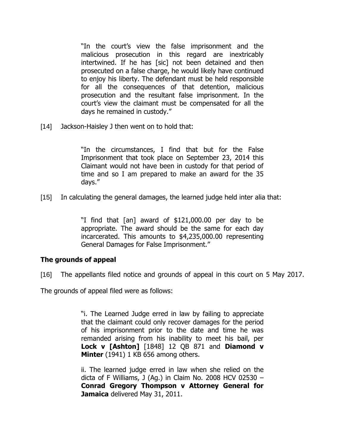"In the court's view the false imprisonment and the malicious prosecution in this regard are inextricably intertwined. If he has [sic] not been detained and then prosecuted on a false charge, he would likely have continued to enjoy his liberty. The defendant must be held responsible for all the consequences of that detention, malicious prosecution and the resultant false imprisonment. In the court's view the claimant must be compensated for all the days he remained in custody."

[14] Jackson-Haisley J then went on to hold that:

"In the circumstances, I find that but for the False Imprisonment that took place on September 23, 2014 this Claimant would not have been in custody for that period of time and so I am prepared to make an award for the 35 days."

[15] In calculating the general damages, the learned judge held inter alia that:

"I find that [an] award of \$121,000.00 per day to be appropriate. The award should be the same for each day incarcerated. This amounts to \$4,235,000.00 representing General Damages for False Imprisonment."

# **The grounds of appeal**

[16] The appellants filed notice and grounds of appeal in this court on 5 May 2017.

The grounds of appeal filed were as follows:

"i. The Learned Judge erred in law by failing to appreciate that the claimant could only recover damages for the period of his imprisonment prior to the date and time he was remanded arising from his inability to meet his bail, per **Lock v [Ashton]** [1848] 12 QB 871 and **Diamond v Minter** (1941) 1 KB 656 among others.

ii. The learned judge erred in law when she relied on the dicta of F Williams, J (Ag.) in Claim No. 2008 HCV 02530 – **Conrad Gregory Thompson v Attorney General for Jamaica** delivered May 31, 2011.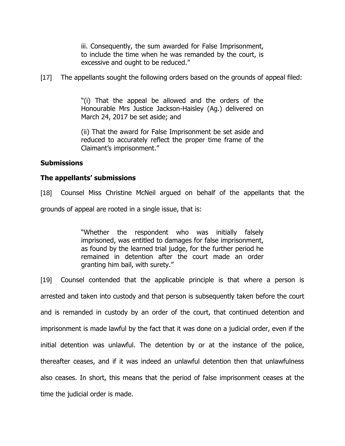iii. Consequently, the sum awarded for False Imprisonment, to include the time when he was remanded by the court, is excessive and ought to be reduced."

[17] The appellants sought the following orders based on the grounds of appeal filed:

"(i) That the appeal be allowed and the orders of the Honourable Mrs Justice Jackson-Haisley (Ag.) delivered on March 24, 2017 be set aside; and

(ii) That the award for False Imprisonment be set aside and reduced to accurately reflect the proper time frame of the Claimant's imprisonment."

# **Submissions**

# **The appellants' submissions**

[18] Counsel Miss Christine McNeil argued on behalf of the appellants that the grounds of appeal are rooted in a single issue, that is:

> "Whether the respondent who was initially falsely imprisoned, was entitled to damages for false imprisonment, as found by the learned trial judge, for the further period he remained in detention after the court made an order granting him bail, with surety."

[19] Counsel contended that the applicable principle is that where a person is arrested and taken into custody and that person is subsequently taken before the court and is remanded in custody by an order of the court, that continued detention and imprisonment is made lawful by the fact that it was done on a judicial order, even if the initial detention was unlawful. The detention by or at the instance of the police, thereafter ceases, and if it was indeed an unlawful detention then that unlawfulness also ceases. In short, this means that the period of false imprisonment ceases at the time the judicial order is made.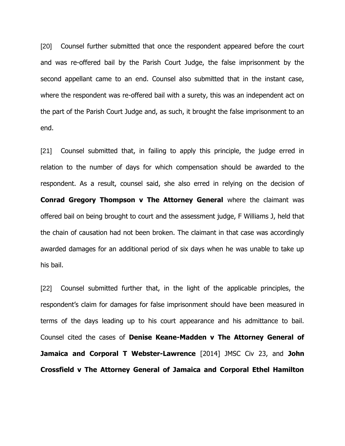[20] Counsel further submitted that once the respondent appeared before the court and was re-offered bail by the Parish Court Judge, the false imprisonment by the second appellant came to an end. Counsel also submitted that in the instant case, where the respondent was re-offered bail with a surety, this was an independent act on the part of the Parish Court Judge and, as such, it brought the false imprisonment to an end.

[21] Counsel submitted that, in failing to apply this principle, the judge erred in relation to the number of days for which compensation should be awarded to the respondent. As a result, counsel said, she also erred in relying on the decision of **Conrad Gregory Thompson v The Attorney General** where the claimant was offered bail on being brought to court and the assessment judge, F Williams J, held that the chain of causation had not been broken. The claimant in that case was accordingly awarded damages for an additional period of six days when he was unable to take up his bail.

[22] Counsel submitted further that, in the light of the applicable principles, the respondent's claim for damages for false imprisonment should have been measured in terms of the days leading up to his court appearance and his admittance to bail. Counsel cited the cases of **Denise Keane-Madden v The Attorney General of Jamaica and Corporal T Webster-Lawrence** [2014] JMSC Civ 23, and **John Crossfield v The Attorney General of Jamaica and Corporal Ethel Hamilton**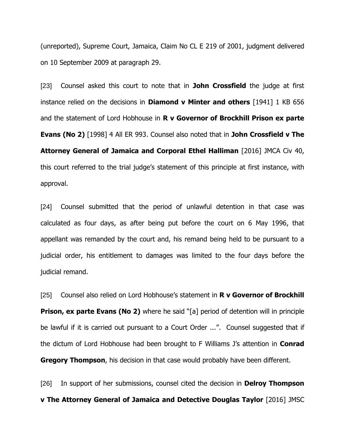(unreported), Supreme Court, Jamaica, Claim No CL E 219 of 2001, judgment delivered on 10 September 2009 at paragraph 29.

[23] Counsel asked this court to note that in **John Crossfield** the judge at first instance relied on the decisions in **Diamond v Minter and others** [1941] 1 KB 656 and the statement of Lord Hobhouse in **R v Governor of Brockhill Prison ex parte Evans (No 2)** [1998] 4 All ER 993. Counsel also noted that in **John Crossfield v The Attorney General of Jamaica and Corporal Ethel Halliman** [2016] JMCA Civ 40, this court referred to the trial judge's statement of this principle at first instance, with approval.

[24] Counsel submitted that the period of unlawful detention in that case was calculated as four days, as after being put before the court on 6 May 1996, that appellant was remanded by the court and, his remand being held to be pursuant to a judicial order, his entitlement to damages was limited to the four days before the judicial remand.

[25] Counsel also relied on Lord Hobhouse's statement in **R v Governor of Brockhill Prison, ex parte Evans (No 2)** where he said "[a] period of detention will in principle be lawful if it is carried out pursuant to a Court Order ...". Counsel suggested that if the dictum of Lord Hobhouse had been brought to F Williams J's attention in **Conrad Gregory Thompson**, his decision in that case would probably have been different.

[26] In support of her submissions, counsel cited the decision in **Delroy Thompson v The Attorney General of Jamaica and Detective Douglas Taylor** [2016] JMSC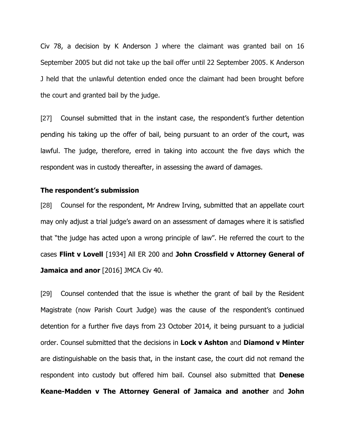Civ 78, a decision by K Anderson J where the claimant was granted bail on 16 September 2005 but did not take up the bail offer until 22 September 2005. K Anderson J held that the unlawful detention ended once the claimant had been brought before the court and granted bail by the judge.

[27] Counsel submitted that in the instant case, the respondent's further detention pending his taking up the offer of bail, being pursuant to an order of the court, was lawful. The judge, therefore, erred in taking into account the five days which the respondent was in custody thereafter, in assessing the award of damages.

#### **The respondent's submission**

[28] Counsel for the respondent, Mr Andrew Irving, submitted that an appellate court may only adjust a trial judge's award on an assessment of damages where it is satisfied that "the judge has acted upon a wrong principle of law". He referred the court to the cases **Flint v Lovell** [1934] All ER 200 and **John Crossfield v Attorney General of Jamaica and anor** [2016] JMCA Civ 40.

[29] Counsel contended that the issue is whether the grant of bail by the Resident Magistrate (now Parish Court Judge) was the cause of the respondent's continued detention for a further five days from 23 October 2014, it being pursuant to a judicial order. Counsel submitted that the decisions in **Lock v Ashton** and **Diamond v Minter** are distinguishable on the basis that, in the instant case, the court did not remand the respondent into custody but offered him bail. Counsel also submitted that **Denese Keane-Madden v The Attorney General of Jamaica and another** and **John**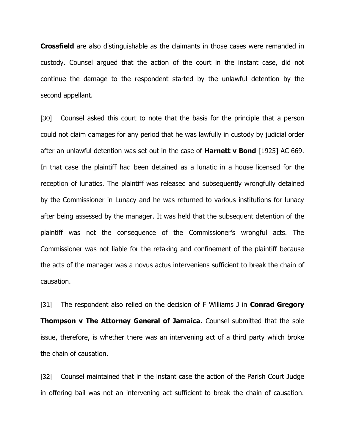**Crossfield** are also distinguishable as the claimants in those cases were remanded in custody. Counsel argued that the action of the court in the instant case, did not continue the damage to the respondent started by the unlawful detention by the second appellant.

[30] Counsel asked this court to note that the basis for the principle that a person could not claim damages for any period that he was lawfully in custody by judicial order after an unlawful detention was set out in the case of **Harnett v Bond** [1925] AC 669. In that case the plaintiff had been detained as a lunatic in a house licensed for the reception of lunatics. The plaintiff was released and subsequently wrongfully detained by the Commissioner in Lunacy and he was returned to various institutions for lunacy after being assessed by the manager. It was held that the subsequent detention of the plaintiff was not the consequence of the Commissioner's wrongful acts. The Commissioner was not liable for the retaking and confinement of the plaintiff because the acts of the manager was a novus actus interveniens sufficient to break the chain of causation.

[31] The respondent also relied on the decision of F Williams J in **Conrad Gregory Thompson v The Attorney General of Jamaica**. Counsel submitted that the sole issue, therefore, is whether there was an intervening act of a third party which broke the chain of causation.

[32] Counsel maintained that in the instant case the action of the Parish Court Judge in offering bail was not an intervening act sufficient to break the chain of causation.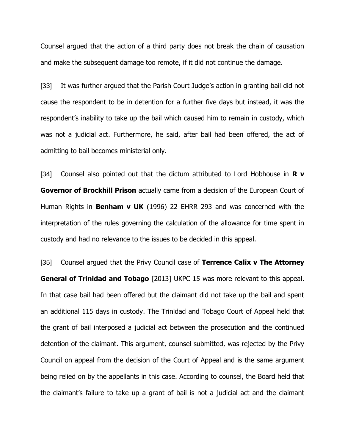Counsel argued that the action of a third party does not break the chain of causation and make the subsequent damage too remote, if it did not continue the damage.

[33] It was further argued that the Parish Court Judge's action in granting bail did not cause the respondent to be in detention for a further five days but instead, it was the respondent's inability to take up the bail which caused him to remain in custody, which was not a judicial act. Furthermore, he said, after bail had been offered, the act of admitting to bail becomes ministerial only.

[34] Counsel also pointed out that the dictum attributed to Lord Hobhouse in **R v Governor of Brockhill Prison** actually came from a decision of the European Court of Human Rights in **Benham v UK** (1996) 22 EHRR 293 and was concerned with the interpretation of the rules governing the calculation of the allowance for time spent in custody and had no relevance to the issues to be decided in this appeal.

[35] Counsel argued that the Privy Council case of **Terrence Calix v The Attorney General of Trinidad and Tobago** [2013] UKPC 15 was more relevant to this appeal. In that case bail had been offered but the claimant did not take up the bail and spent an additional 115 days in custody. The Trinidad and Tobago Court of Appeal held that the grant of bail interposed a judicial act between the prosecution and the continued detention of the claimant. This argument, counsel submitted, was rejected by the Privy Council on appeal from the decision of the Court of Appeal and is the same argument being relied on by the appellants in this case. According to counsel, the Board held that the claimant's failure to take up a grant of bail is not a judicial act and the claimant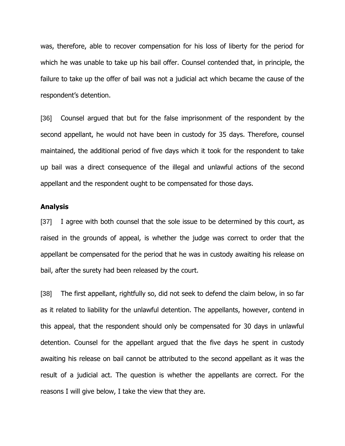was, therefore, able to recover compensation for his loss of liberty for the period for which he was unable to take up his bail offer. Counsel contended that, in principle, the failure to take up the offer of bail was not a judicial act which became the cause of the respondent's detention.

[36] Counsel argued that but for the false imprisonment of the respondent by the second appellant, he would not have been in custody for 35 days. Therefore, counsel maintained, the additional period of five days which it took for the respondent to take up bail was a direct consequence of the illegal and unlawful actions of the second appellant and the respondent ought to be compensated for those days.

### **Analysis**

[37] I agree with both counsel that the sole issue to be determined by this court, as raised in the grounds of appeal, is whether the judge was correct to order that the appellant be compensated for the period that he was in custody awaiting his release on bail, after the surety had been released by the court.

[38] The first appellant, rightfully so, did not seek to defend the claim below, in so far as it related to liability for the unlawful detention. The appellants, however, contend in this appeal, that the respondent should only be compensated for 30 days in unlawful detention. Counsel for the appellant argued that the five days he spent in custody awaiting his release on bail cannot be attributed to the second appellant as it was the result of a judicial act. The question is whether the appellants are correct. For the reasons I will give below, I take the view that they are.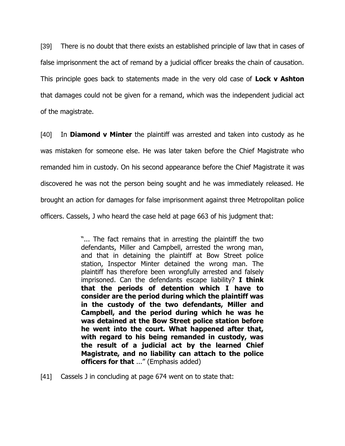[39] There is no doubt that there exists an established principle of law that in cases of false imprisonment the act of remand by a judicial officer breaks the chain of causation. This principle goes back to statements made in the very old case of **Lock v Ashton** that damages could not be given for a remand, which was the independent judicial act of the magistrate.

[40] In **Diamond v Minter** the plaintiff was arrested and taken into custody as he was mistaken for someone else. He was later taken before the Chief Magistrate who remanded him in custody. On his second appearance before the Chief Magistrate it was discovered he was not the person being sought and he was immediately released. He brought an action for damages for false imprisonment against three Metropolitan police officers. Cassels, J who heard the case held at page 663 of his judgment that:

> "... The fact remains that in arresting the plaintiff the two defendants, Miller and Campbell, arrested the wrong man, and that in detaining the plaintiff at Bow Street police station, Inspector Minter detained the wrong man. The plaintiff has therefore been wrongfully arrested and falsely imprisoned. Can the defendants escape liability? **I think that the periods of detention which I have to consider are the period during which the plaintiff was in the custody of the two defendants, Miller and Campbell, and the period during which he was he was detained at the Bow Street police station before he went into the court. What happened after that, with regard to his being remanded in custody, was the result of a judicial act by the learned Chief Magistrate, and no liability can attach to the police officers for that** ..." (Emphasis added)

[41] Cassels J in concluding at page 674 went on to state that: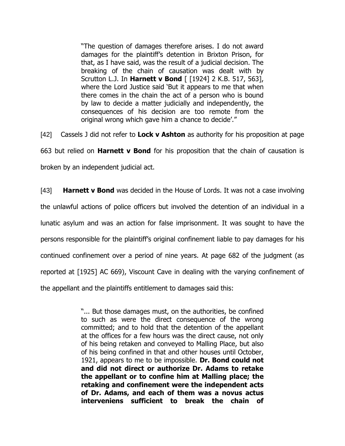"The question of damages therefore arises. I do not award damages for the plaintiff's detention in Brixton Prison, for that, as I have said, was the result of a judicial decision. The breaking of the chain of causation was dealt with by Scrutton L.J. In **Harnett v Bond** [ [1924] 2 K.B. 517, 563], where the Lord Justice said 'But it appears to me that when there comes in the chain the act of a person who is bound by law to decide a matter judicially and independently, the consequences of his decision are too remote from the original wrong which gave him a chance to decide'."

[42] Cassels J did not refer to **Lock v Ashton** as authority for his proposition at page 663 but relied on **Harnett v Bond** for his proposition that the chain of causation is broken by an independent judicial act.

[43] **Harnett v Bond** was decided in the House of Lords. It was not a case involving the unlawful actions of police officers but involved the detention of an individual in a lunatic asylum and was an action for false imprisonment. It was sought to have the persons responsible for the plaintiff's original confinement liable to pay damages for his continued confinement over a period of nine years. At page 682 of the judgment (as reported at [1925] AC 669), Viscount Cave in dealing with the varying confinement of the appellant and the plaintiffs entitlement to damages said this:

> "... But those damages must, on the authorities, be confined to such as were the direct consequence of the wrong committed; and to hold that the detention of the appellant at the offices for a few hours was the direct cause, not only of his being retaken and conveyed to Malling Place, but also of his being confined in that and other houses until October, 1921, appears to me to be impossible. **Dr. Bond could not and did not direct or authorize Dr. Adams to retake the appellant or to confine him at Malling place; the retaking and confinement were the independent acts of Dr. Adams, and each of them was a novus actus interveniens sufficient to break the chain of**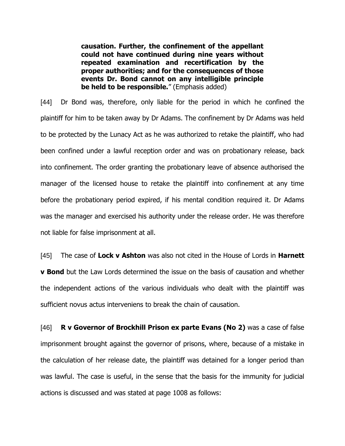**causation. Further, the confinement of the appellant could not have continued during nine years without repeated examination and recertification by the proper authorities; and for the consequences of those events Dr. Bond cannot on any intelligible principle be held to be responsible.**" (Emphasis added)

[44] Dr Bond was, therefore, only liable for the period in which he confined the plaintiff for him to be taken away by Dr Adams. The confinement by Dr Adams was held to be protected by the Lunacy Act as he was authorized to retake the plaintiff, who had been confined under a lawful reception order and was on probationary release, back into confinement. The order granting the probationary leave of absence authorised the manager of the licensed house to retake the plaintiff into confinement at any time before the probationary period expired, if his mental condition required it. Dr Adams was the manager and exercised his authority under the release order. He was therefore not liable for false imprisonment at all.

[45] The case of **Lock v Ashton** was also not cited in the House of Lords in **Harnett v Bond** but the Law Lords determined the issue on the basis of causation and whether the independent actions of the various individuals who dealt with the plaintiff was sufficient novus actus interveniens to break the chain of causation.

[46] **R v Governor of Brockhill Prison ex parte Evans (No 2)** was a case of false imprisonment brought against the governor of prisons, where, because of a mistake in the calculation of her release date, the plaintiff was detained for a longer period than was lawful. The case is useful, in the sense that the basis for the immunity for judicial actions is discussed and was stated at page 1008 as follows: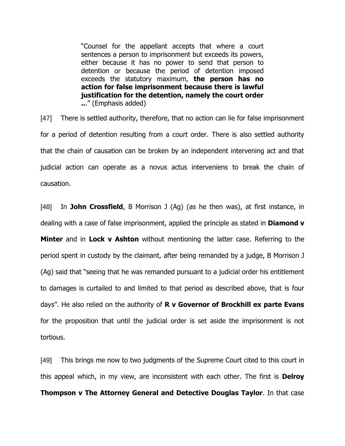"Counsel for the appellant accepts that where a court sentences a person to imprisonment but exceeds its powers, either because it has no power to send that person to detention or because the period of detention imposed exceeds the statutory maximum, **the person has no action for false imprisonment because there is lawful justification for the detention, namely the court order ..**." (Emphasis added)

[47] There is settled authority, therefore, that no action can lie for false imprisonment for a period of detention resulting from a court order. There is also settled authority that the chain of causation can be broken by an independent intervening act and that judicial action can operate as a novus actus interveniens to break the chain of causation.

[48] In **John Crossfield**, B Morrison J (Ag) (as he then was), at first instance, in dealing with a case of false imprisonment, applied the principle as stated in **Diamond v Minter** and in **Lock v Ashton** without mentioning the latter case. Referring to the period spent in custody by the claimant, after being remanded by a judge, B Morrison J (Ag) said that "seeing that he was remanded pursuant to a judicial order his entitlement to damages is curtailed to and limited to that period as described above, that is four days". He also relied on the authority of **R v Governor of Brockhill ex parte Evans** for the proposition that until the judicial order is set aside the imprisonment is not tortious.

[49] This brings me now to two judgments of the Supreme Court cited to this court in this appeal which, in my view, are inconsistent with each other. The first is **Delroy Thompson v The Attorney General and Detective Douglas Taylor**. In that case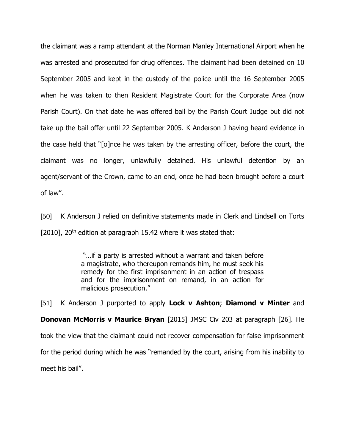the claimant was a ramp attendant at the Norman Manley International Airport when he was arrested and prosecuted for drug offences. The claimant had been detained on 10 September 2005 and kept in the custody of the police until the 16 September 2005 when he was taken to then Resident Magistrate Court for the Corporate Area (now Parish Court). On that date he was offered bail by the Parish Court Judge but did not take up the bail offer until 22 September 2005. K Anderson J having heard evidence in the case held that "[o]nce he was taken by the arresting officer, before the court, the claimant was no longer, unlawfully detained. His unlawful detention by an agent/servant of the Crown, came to an end, once he had been brought before a court of law".

[50] K Anderson J relied on definitive statements made in Clerk and Lindsell on Torts  $[2010]$ ,  $20<sup>th</sup>$  edition at paragraph 15.42 where it was stated that:

> "…if a party is arrested without a warrant and taken before a magistrate, who thereupon remands him, he must seek his remedy for the first imprisonment in an action of trespass and for the imprisonment on remand, in an action for malicious prosecution."

[51] K Anderson J purported to apply **Lock v Ashton**; **Diamond v Minter** and **Donovan McMorris v Maurice Bryan** [2015] JMSC Civ 203 at paragraph [26]. He took the view that the claimant could not recover compensation for false imprisonment for the period during which he was "remanded by the court, arising from his inability to meet his bail".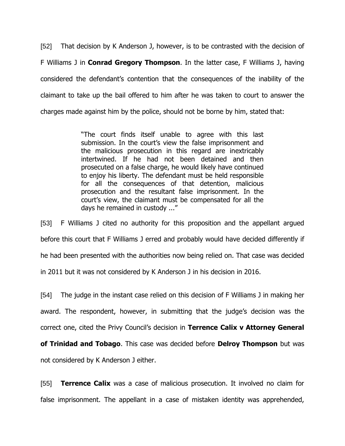[52] That decision by K Anderson J, however, is to be contrasted with the decision of F Williams J in **Conrad Gregory Thompson**. In the latter case, F Williams J, having considered the defendant's contention that the consequences of the inability of the claimant to take up the bail offered to him after he was taken to court to answer the charges made against him by the police, should not be borne by him, stated that:

> "The court finds itself unable to agree with this last submission. In the court's view the false imprisonment and the malicious prosecution in this regard are inextricably intertwined. If he had not been detained and then prosecuted on a false charge, he would likely have continued to enjoy his liberty. The defendant must be held responsible for all the consequences of that detention, malicious prosecution and the resultant false imprisonment. In the court's view, the claimant must be compensated for all the days he remained in custody ..."

[53] F Williams J cited no authority for this proposition and the appellant argued before this court that F Williams J erred and probably would have decided differently if he had been presented with the authorities now being relied on. That case was decided in 2011 but it was not considered by K Anderson J in his decision in 2016.

[54] The judge in the instant case relied on this decision of F Williams J in making her award. The respondent, however, in submitting that the judge's decision was the correct one, cited the Privy Council's decision in **Terrence Calix v Attorney General** 

**of Trinidad and Tobago**. This case was decided before **Delroy Thompson** but was not considered by K Anderson J either.

[55] **Terrence Calix** was a case of malicious prosecution. It involved no claim for false imprisonment. The appellant in a case of mistaken identity was apprehended,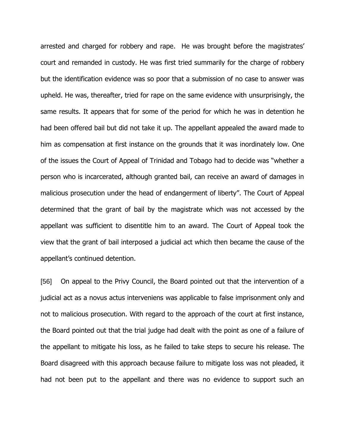arrested and charged for robbery and rape. He was brought before the magistrates' court and remanded in custody. He was first tried summarily for the charge of robbery but the identification evidence was so poor that a submission of no case to answer was upheld. He was, thereafter, tried for rape on the same evidence with unsurprisingly, the same results. It appears that for some of the period for which he was in detention he had been offered bail but did not take it up. The appellant appealed the award made to him as compensation at first instance on the grounds that it was inordinately low. One of the issues the Court of Appeal of Trinidad and Tobago had to decide was "whether a person who is incarcerated, although granted bail, can receive an award of damages in malicious prosecution under the head of endangerment of liberty". The Court of Appeal determined that the grant of bail by the magistrate which was not accessed by the appellant was sufficient to disentitle him to an award. The Court of Appeal took the view that the grant of bail interposed a judicial act which then became the cause of the appellant's continued detention.

[56] On appeal to the Privy Council, the Board pointed out that the intervention of a judicial act as a novus actus interveniens was applicable to false imprisonment only and not to malicious prosecution. With regard to the approach of the court at first instance, the Board pointed out that the trial judge had dealt with the point as one of a failure of the appellant to mitigate his loss, as he failed to take steps to secure his release. The Board disagreed with this approach because failure to mitigate loss was not pleaded, it had not been put to the appellant and there was no evidence to support such an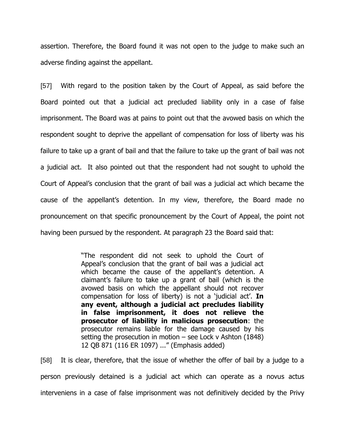assertion. Therefore, the Board found it was not open to the judge to make such an adverse finding against the appellant.

[57] With regard to the position taken by the Court of Appeal, as said before the Board pointed out that a judicial act precluded liability only in a case of false imprisonment. The Board was at pains to point out that the avowed basis on which the respondent sought to deprive the appellant of compensation for loss of liberty was his failure to take up a grant of bail and that the failure to take up the grant of bail was not a judicial act. It also pointed out that the respondent had not sought to uphold the Court of Appeal's conclusion that the grant of bail was a judicial act which became the cause of the appellant's detention. In my view, therefore, the Board made no pronouncement on that specific pronouncement by the Court of Appeal, the point not having been pursued by the respondent. At paragraph 23 the Board said that:

> "The respondent did not seek to uphold the Court of Appeal's conclusion that the grant of bail was a judicial act which became the cause of the appellant's detention. A claimant's failure to take up a grant of bail (which is the avowed basis on which the appellant should not recover compensation for loss of liberty) is not a 'judicial act'. **In any event, although a judicial act precludes liability in false imprisonment, it does not relieve the prosecutor of liability in malicious prosecution**: the prosecutor remains liable for the damage caused by his setting the prosecution in motion  $-$  see Lock v Ashton (1848) 12 QB 871 (116 ER 1097) ..." (Emphasis added)

[58] It is clear, therefore, that the issue of whether the offer of bail by a judge to a person previously detained is a judicial act which can operate as a novus actus interveniens in a case of false imprisonment was not definitively decided by the Privy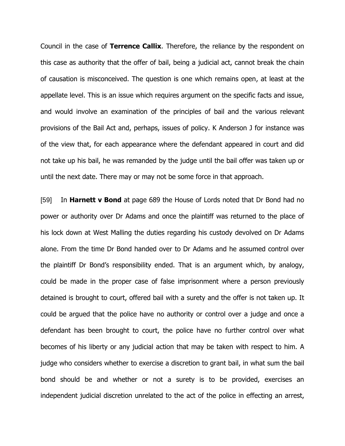Council in the case of **Terrence Callix**. Therefore, the reliance by the respondent on this case as authority that the offer of bail, being a judicial act, cannot break the chain of causation is misconceived. The question is one which remains open, at least at the appellate level. This is an issue which requires argument on the specific facts and issue, and would involve an examination of the principles of bail and the various relevant provisions of the Bail Act and, perhaps, issues of policy. K Anderson J for instance was of the view that, for each appearance where the defendant appeared in court and did not take up his bail, he was remanded by the judge until the bail offer was taken up or until the next date. There may or may not be some force in that approach.

[59] In **Harnett v Bond** at page 689 the House of Lords noted that Dr Bond had no power or authority over Dr Adams and once the plaintiff was returned to the place of his lock down at West Malling the duties regarding his custody devolved on Dr Adams alone. From the time Dr Bond handed over to Dr Adams and he assumed control over the plaintiff Dr Bond's responsibility ended. That is an argument which, by analogy, could be made in the proper case of false imprisonment where a person previously detained is brought to court, offered bail with a surety and the offer is not taken up. It could be argued that the police have no authority or control over a judge and once a defendant has been brought to court, the police have no further control over what becomes of his liberty or any judicial action that may be taken with respect to him. A judge who considers whether to exercise a discretion to grant bail, in what sum the bail bond should be and whether or not a surety is to be provided, exercises an independent judicial discretion unrelated to the act of the police in effecting an arrest,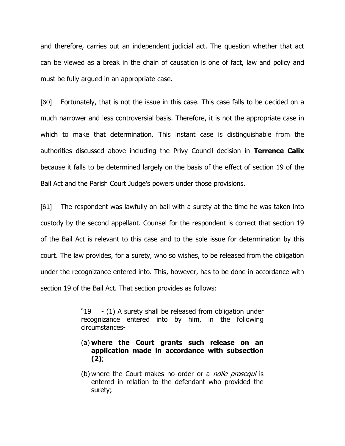and therefore, carries out an independent judicial act. The question whether that act can be viewed as a break in the chain of causation is one of fact, law and policy and must be fully argued in an appropriate case.

[60] Fortunately, that is not the issue in this case. This case falls to be decided on a much narrower and less controversial basis. Therefore, it is not the appropriate case in which to make that determination. This instant case is distinguishable from the authorities discussed above including the Privy Council decision in **Terrence Calix** because it falls to be determined largely on the basis of the effect of section 19 of the Bail Act and the Parish Court Judge's powers under those provisions.

[61] The respondent was lawfully on bail with a surety at the time he was taken into custody by the second appellant. Counsel for the respondent is correct that section 19 of the Bail Act is relevant to this case and to the sole issue for determination by this court. The law provides, for a surety, who so wishes, to be released from the obligation under the recognizance entered into. This, however, has to be done in accordance with section 19 of the Bail Act. That section provides as follows:

> " $19 - (1)$  A surety shall be released from obligation under recognizance entered into by him, in the following circumstances-

# (a) **where the Court grants such release on an application made in accordance with subsection (2)**;

(b) where the Court makes no order or a *nolle prosequi* is entered in relation to the defendant who provided the surety;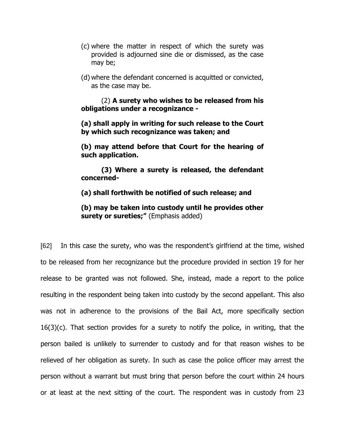- (c) where the matter in respect of which the surety was provided is adjourned sine die or dismissed, as the case may be;
- (d) where the defendant concerned is acquitted or convicted, as the case may be.

(2) **A surety who wishes to be released from his obligations under a recognizance -**

**(a) shall apply in writing for such release to the Court by which such recognizance was taken; and**

**(b) may attend before that Court for the hearing of such application.**

**(3) Where a surety is released, the defendant concerned-**

**(a) shall forthwith be notified of such release; and** 

**(b) may be taken into custody until he provides other surety or sureties;"** (Emphasis added)

[62] In this case the surety, who was the respondent's girlfriend at the time, wished to be released from her recognizance but the procedure provided in section 19 for her release to be granted was not followed. She, instead, made a report to the police resulting in the respondent being taken into custody by the second appellant. This also was not in adherence to the provisions of the Bail Act, more specifically section  $16(3)(c)$ . That section provides for a surety to notify the police, in writing, that the person bailed is unlikely to surrender to custody and for that reason wishes to be relieved of her obligation as surety. In such as case the police officer may arrest the person without a warrant but must bring that person before the court within 24 hours or at least at the next sitting of the court. The respondent was in custody from 23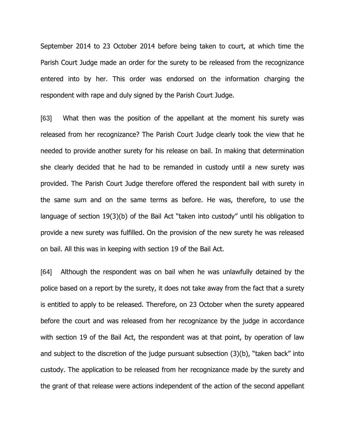September 2014 to 23 October 2014 before being taken to court, at which time the Parish Court Judge made an order for the surety to be released from the recognizance entered into by her. This order was endorsed on the information charging the respondent with rape and duly signed by the Parish Court Judge.

[63] What then was the position of the appellant at the moment his surety was released from her recognizance? The Parish Court Judge clearly took the view that he needed to provide another surety for his release on bail. In making that determination she clearly decided that he had to be remanded in custody until a new surety was provided. The Parish Court Judge therefore offered the respondent bail with surety in the same sum and on the same terms as before. He was, therefore, to use the language of section 19(3)(b) of the Bail Act "taken into custody" until his obligation to provide a new surety was fulfilled. On the provision of the new surety he was released on bail. All this was in keeping with section 19 of the Bail Act.

[64] Although the respondent was on bail when he was unlawfully detained by the police based on a report by the surety, it does not take away from the fact that a surety is entitled to apply to be released. Therefore, on 23 October when the surety appeared before the court and was released from her recognizance by the judge in accordance with section 19 of the Bail Act, the respondent was at that point, by operation of law and subject to the discretion of the judge pursuant subsection (3)(b), "taken back" into custody. The application to be released from her recognizance made by the surety and the grant of that release were actions independent of the action of the second appellant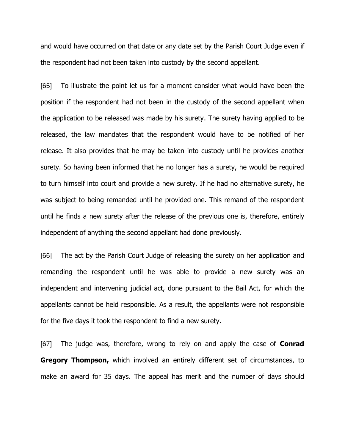and would have occurred on that date or any date set by the Parish Court Judge even if the respondent had not been taken into custody by the second appellant.

[65] To illustrate the point let us for a moment consider what would have been the position if the respondent had not been in the custody of the second appellant when the application to be released was made by his surety. The surety having applied to be released, the law mandates that the respondent would have to be notified of her release. It also provides that he may be taken into custody until he provides another surety. So having been informed that he no longer has a surety, he would be required to turn himself into court and provide a new surety. If he had no alternative surety, he was subject to being remanded until he provided one. This remand of the respondent until he finds a new surety after the release of the previous one is, therefore, entirely independent of anything the second appellant had done previously.

[66] The act by the Parish Court Judge of releasing the surety on her application and remanding the respondent until he was able to provide a new surety was an independent and intervening judicial act, done pursuant to the Bail Act, for which the appellants cannot be held responsible. As a result, the appellants were not responsible for the five days it took the respondent to find a new surety.

[67] The judge was, therefore, wrong to rely on and apply the case of **Conrad Gregory Thompson,** which involved an entirely different set of circumstances, to make an award for 35 days. The appeal has merit and the number of days should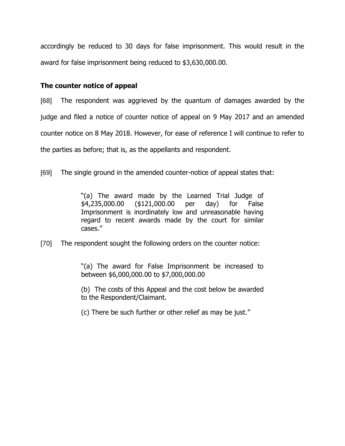accordingly be reduced to 30 days for false imprisonment. This would result in the award for false imprisonment being reduced to \$3,630,000.00.

### **The counter notice of appeal**

[68] The respondent was aggrieved by the quantum of damages awarded by the judge and filed a notice of counter notice of appeal on 9 May 2017 and an amended counter notice on 8 May 2018. However, for ease of reference I will continue to refer to the parties as before; that is, as the appellants and respondent.

[69] The single ground in the amended counter-notice of appeal states that:

"(a) The award made by the Learned Trial Judge of \$4,235,000.00 (\$121,000.00 per day) for False Imprisonment is inordinately low and unreasonable having regard to recent awards made by the court for similar cases."

[70] The respondent sought the following orders on the counter notice:

"(a) The award for False Imprisonment be increased to between \$6,000,000.00 to \$7,000,000.00

(b) The costs of this Appeal and the cost below be awarded to the Respondent/Claimant.

(c) There be such further or other relief as may be just."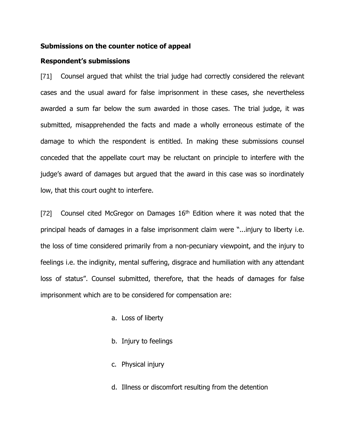### **Submissions on the counter notice of appeal**

#### **Respondent's submissions**

[71] Counsel argued that whilst the trial judge had correctly considered the relevant cases and the usual award for false imprisonment in these cases, she nevertheless awarded a sum far below the sum awarded in those cases. The trial judge, it was submitted, misapprehended the facts and made a wholly erroneous estimate of the damage to which the respondent is entitled. In making these submissions counsel conceded that the appellate court may be reluctant on principle to interfere with the judge's award of damages but argued that the award in this case was so inordinately low, that this court ought to interfere.

[72] Counsel cited McGregor on Damages  $16<sup>th</sup>$  Edition where it was noted that the principal heads of damages in a false imprisonment claim were "...injury to liberty i.e. the loss of time considered primarily from a non-pecuniary viewpoint, and the injury to feelings i.e. the indignity, mental suffering, disgrace and humiliation with any attendant loss of status". Counsel submitted, therefore, that the heads of damages for false imprisonment which are to be considered for compensation are:

- a. Loss of liberty
- b. Injury to feelings
- c. Physical injury
- d. Illness or discomfort resulting from the detention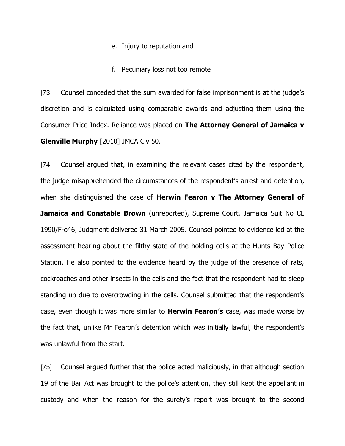### e. Injury to reputation and

f. Pecuniary loss not too remote

[73] Counsel conceded that the sum awarded for false imprisonment is at the judge's discretion and is calculated using comparable awards and adjusting them using the Consumer Price Index. Reliance was placed on **The Attorney General of Jamaica v Glenville Murphy** [2010] JMCA Civ 50.

[74] Counsel argued that, in examining the relevant cases cited by the respondent, the judge misapprehended the circumstances of the respondent's arrest and detention, when she distinguished the case of **Herwin Fearon v The Attorney General of**  Jamaica and Constable Brown (unreported), Supreme Court, Jamaica Suit No CL 1990/F-o46, Judgment delivered 31 March 2005. Counsel pointed to evidence led at the assessment hearing about the filthy state of the holding cells at the Hunts Bay Police Station. He also pointed to the evidence heard by the judge of the presence of rats, cockroaches and other insects in the cells and the fact that the respondent had to sleep standing up due to overcrowding in the cells. Counsel submitted that the respondent's case, even though it was more similar to **Herwin Fearon's** case, was made worse by the fact that, unlike Mr Fearon's detention which was initially lawful, the respondent's was unlawful from the start.

[75] Counsel argued further that the police acted maliciously, in that although section 19 of the Bail Act was brought to the police's attention, they still kept the appellant in custody and when the reason for the surety's report was brought to the second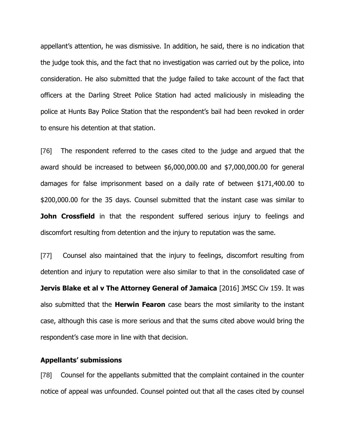appellant's attention, he was dismissive. In addition, he said, there is no indication that the judge took this, and the fact that no investigation was carried out by the police, into consideration. He also submitted that the judge failed to take account of the fact that officers at the Darling Street Police Station had acted maliciously in misleading the police at Hunts Bay Police Station that the respondent's bail had been revoked in order to ensure his detention at that station.

[76] The respondent referred to the cases cited to the judge and argued that the award should be increased to between \$6,000,000.00 and \$7,000,000.00 for general damages for false imprisonment based on a daily rate of between \$171,400.00 to \$200,000.00 for the 35 days. Counsel submitted that the instant case was similar to **John Crossfield** in that the respondent suffered serious injury to feelings and discomfort resulting from detention and the injury to reputation was the same.

[77] Counsel also maintained that the injury to feelings, discomfort resulting from detention and injury to reputation were also similar to that in the consolidated case of **Jervis Blake et al v The Attorney General of Jamaica** [2016] JMSC Civ 159. It was also submitted that the **Herwin Fearon** case bears the most similarity to the instant case, although this case is more serious and that the sums cited above would bring the respondent's case more in line with that decision.

### **Appellants' submissions**

[78] Counsel for the appellants submitted that the complaint contained in the counter notice of appeal was unfounded. Counsel pointed out that all the cases cited by counsel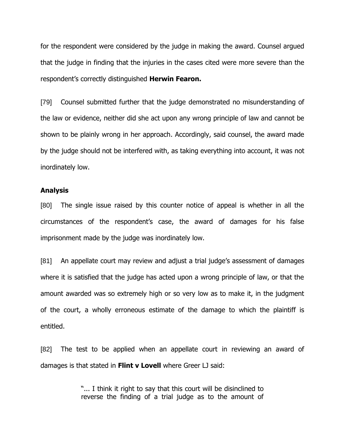for the respondent were considered by the judge in making the award. Counsel argued that the judge in finding that the injuries in the cases cited were more severe than the respondent's correctly distinguished **Herwin Fearon.** 

[79] Counsel submitted further that the judge demonstrated no misunderstanding of the law or evidence, neither did she act upon any wrong principle of law and cannot be shown to be plainly wrong in her approach. Accordingly, said counsel, the award made by the judge should not be interfered with, as taking everything into account, it was not inordinately low.

#### **Analysis**

[80] The single issue raised by this counter notice of appeal is whether in all the circumstances of the respondent's case, the award of damages for his false imprisonment made by the judge was inordinately low.

[81] An appellate court may review and adjust a trial judge's assessment of damages where it is satisfied that the judge has acted upon a wrong principle of law, or that the amount awarded was so extremely high or so very low as to make it, in the judgment of the court, a wholly erroneous estimate of the damage to which the plaintiff is entitled.

[82] The test to be applied when an appellate court in reviewing an award of damages is that stated in **Flint v Lovell** where Greer LJ said:

> "... I think it right to say that this court will be disinclined to reverse the finding of a trial judge as to the amount of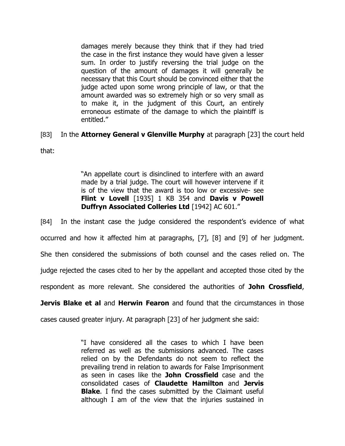damages merely because they think that if they had tried the case in the first instance they would have given a lesser sum. In order to justify reversing the trial judge on the question of the amount of damages it will generally be necessary that this Court should be convinced either that the judge acted upon some wrong principle of law, or that the amount awarded was so extremely high or so very small as to make it, in the judgment of this Court, an entirely erroneous estimate of the damage to which the plaintiff is entitled."

[83] In the **Attorney General v Glenville Murphy** at paragraph [23] the court held

that:

"An appellate court is disinclined to interfere with an award made by a trial judge. The court will however intervene if it is of the view that the award is too low or excessive- see **Flint v Lovell** [1935] 1 KB 354 and **Davis v Powell Duffryn Associated Colleries Ltd** [1942] AC 601."

[84] In the instant case the judge considered the respondent's evidence of what occurred and how it affected him at paragraphs, [7], [8] and [9] of her judgment. She then considered the submissions of both counsel and the cases relied on. The judge rejected the cases cited to her by the appellant and accepted those cited by the respondent as more relevant. She considered the authorities of **John Crossfield**, **Jervis Blake et al** and **Herwin Fearon** and found that the circumstances in those

cases caused greater injury. At paragraph [23] of her judgment she said:

"I have considered all the cases to which I have been referred as well as the submissions advanced. The cases relied on by the Defendants do not seem to reflect the prevailing trend in relation to awards for False Imprisonment as seen in cases like the **John Crossfield** case and the consolidated cases of **Claudette Hamilton** and **Jervis Blake**. I find the cases submitted by the Claimant useful although I am of the view that the injuries sustained in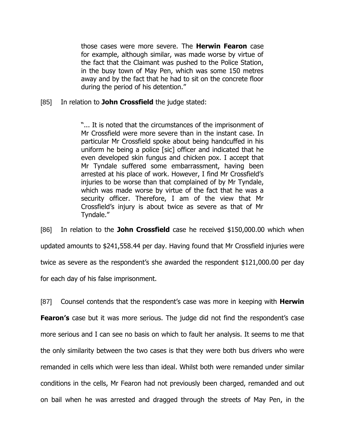those cases were more severe. The **Herwin Fearon** case for example, although similar, was made worse by virtue of the fact that the Claimant was pushed to the Police Station, in the busy town of May Pen, which was some 150 metres away and by the fact that he had to sit on the concrete floor during the period of his detention."

# [85] In relation to **John Crossfield** the judge stated:

"... It is noted that the circumstances of the imprisonment of Mr Crossfield were more severe than in the instant case. In particular Mr Crossfield spoke about being handcuffed in his uniform he being a police [sic] officer and indicated that he even developed skin fungus and chicken pox. I accept that Mr Tyndale suffered some embarrassment, having been arrested at his place of work. However, I find Mr Crossfield's injuries to be worse than that complained of by Mr Tyndale, which was made worse by virtue of the fact that he was a security officer. Therefore, I am of the view that Mr Crossfield's injury is about twice as severe as that of Mr Tyndale."

[86] In relation to the **John Crossfield** case he received \$150,000.00 which when updated amounts to \$241,558.44 per day. Having found that Mr Crossfield injuries were twice as severe as the respondent's she awarded the respondent \$121,000.00 per day for each day of his false imprisonment.

[87] Counsel contends that the respondent's case was more in keeping with **Herwin Fearon's** case but it was more serious. The judge did not find the respondent's case more serious and I can see no basis on which to fault her analysis. It seems to me that the only similarity between the two cases is that they were both bus drivers who were remanded in cells which were less than ideal. Whilst both were remanded under similar conditions in the cells, Mr Fearon had not previously been charged, remanded and out on bail when he was arrested and dragged through the streets of May Pen, in the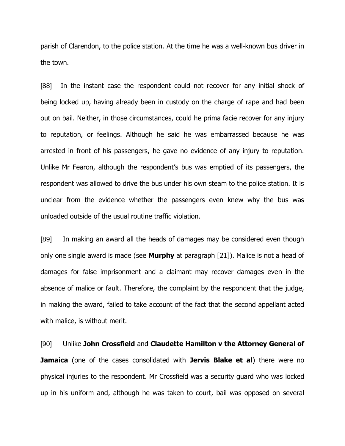parish of Clarendon, to the police station. At the time he was a well-known bus driver in the town.

[88] In the instant case the respondent could not recover for any initial shock of being locked up, having already been in custody on the charge of rape and had been out on bail. Neither, in those circumstances, could he prima facie recover for any injury to reputation, or feelings. Although he said he was embarrassed because he was arrested in front of his passengers, he gave no evidence of any injury to reputation. Unlike Mr Fearon, although the respondent's bus was emptied of its passengers, the respondent was allowed to drive the bus under his own steam to the police station. It is unclear from the evidence whether the passengers even knew why the bus was unloaded outside of the usual routine traffic violation.

[89] In making an award all the heads of damages may be considered even though only one single award is made (see **Murphy** at paragraph [21]). Malice is not a head of damages for false imprisonment and a claimant may recover damages even in the absence of malice or fault. Therefore, the complaint by the respondent that the judge, in making the award, failed to take account of the fact that the second appellant acted with malice, is without merit.

[90] Unlike **John Crossfield** and **Claudette Hamilton v the Attorney General of Jamaica** (one of the cases consolidated with **Jervis Blake et al**) there were no physical injuries to the respondent. Mr Crossfield was a security guard who was locked up in his uniform and, although he was taken to court, bail was opposed on several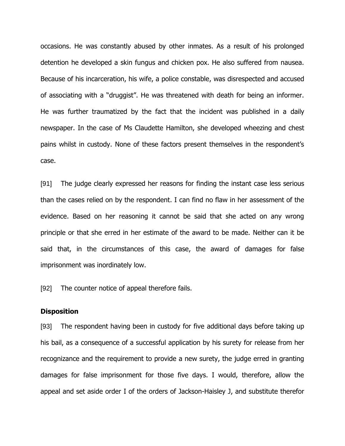occasions. He was constantly abused by other inmates. As a result of his prolonged detention he developed a skin fungus and chicken pox. He also suffered from nausea. Because of his incarceration, his wife, a police constable, was disrespected and accused of associating with a "druggist". He was threatened with death for being an informer. He was further traumatized by the fact that the incident was published in a daily newspaper. In the case of Ms Claudette Hamilton, she developed wheezing and chest pains whilst in custody. None of these factors present themselves in the respondent's case.

[91] The judge clearly expressed her reasons for finding the instant case less serious than the cases relied on by the respondent. I can find no flaw in her assessment of the evidence. Based on her reasoning it cannot be said that she acted on any wrong principle or that she erred in her estimate of the award to be made. Neither can it be said that, in the circumstances of this case, the award of damages for false imprisonment was inordinately low.

[92] The counter notice of appeal therefore fails.

#### **Disposition**

[93] The respondent having been in custody for five additional days before taking up his bail, as a consequence of a successful application by his surety for release from her recognizance and the requirement to provide a new surety, the judge erred in granting damages for false imprisonment for those five days. I would, therefore, allow the appeal and set aside order I of the orders of Jackson-Haisley J, and substitute therefor